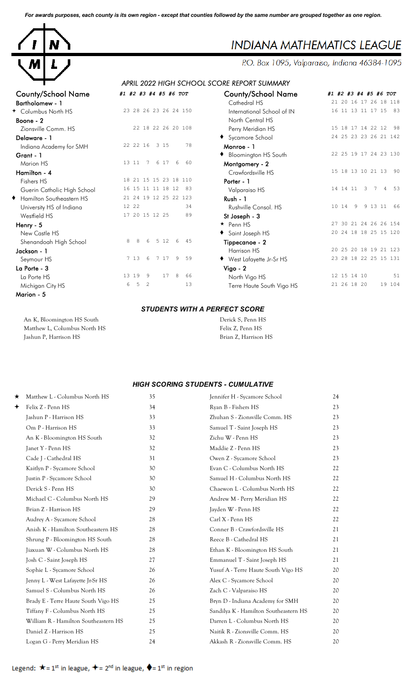*For awards purposes, each county is its own region - except that counties followed by the same number are grouped together as one region.*



# **INDIANA MATHEMATICS LEAGUE**

P.O. Box 1095, Valparaiso, Indiana 46384-1095

# *APRIL 2022 HIGH SCHOOL SCORE REPORT SUMMARY*

| <b>County/School Name</b>   | #1 #2 #3 #4 #5 #6 TOT           | <b>County/School Name</b>  | #1                      |
|-----------------------------|---------------------------------|----------------------------|-------------------------|
| Bartholomew - 1             |                                 | Cathedral HS               | $\overline{c}$          |
| + Columbus North HS         | 23 28 26 23 26 24 150           | International School of IN | $\mathbf{1}$            |
| Boone - 2                   |                                 | North Central HS           |                         |
| Zionsville Comm. HS         | 22 18 22 26 20 108              | Perry Meridian HS          | $\mathbf{1}$            |
| Delaware - 1                |                                 | • Sycamore School          | $\overline{c}$          |
| Indiana Academy for SMH     | 22 22 16<br>3 15<br>78          | Monroe - 1                 |                         |
| Grant - 1                   |                                 | ♦ Bloomington HS South     | $\overline{c}$          |
| Marion HS                   | 13 11<br>6 17<br>60<br>7<br>6   | Montgomery - 2             |                         |
| Hamilton - 4                |                                 | Crawfordsville HS          | $\mathbf{1}$            |
| Fishers HS                  | 18 21 15 15 23 18 110           | Porter - 1                 |                         |
| Guerin Catholic High School | 16 15 11 11 18 12<br>83         | Valparaiso HS              | $\mathbf{1}$            |
| Hamilton Southeastern HS    | 21 24 19 12 25 22 123           | Rush - 1                   |                         |
| University HS of Indiana    | 12 22<br>34                     | Rushville Consol. HS       | $\mathbf{1}$            |
| Westfield HS                | 17 20 15 12 25<br>89            | St Joseph - 3              |                         |
| Henry - 5                   |                                 | $\star$ Penn HS            | $\overline{c}$          |
| New Castle HS               |                                 | Saint Joseph HS            | $\overline{c}$          |
| Shenandoah High School      | 5 12<br>8<br>8<br>6<br>45<br>6  | Tippecanoe - 2             |                         |
| Jackson - 1                 |                                 | Harrison HS                | $\overline{\mathbf{c}}$ |
| Seymour HS                  | 7 13<br>17<br>59<br>6<br>9<br>7 | ◆ West Lafayette Jr-Sr HS  | $\overline{c}$          |
| La Porte - 3                |                                 | $Vigo - 2$                 |                         |
| La Porte HS                 | 13 19<br>17<br>8<br>66<br>9     | North Vigo HS              | $\mathbf{1}$            |
| Michigan City HS            | 5<br>2<br>13<br>6               | Terre Haute South Vigo HS  | $\overline{c}$          |
| Marion - 5                  |                                 |                            |                         |

| <b>County/School Name</b>   | #1 #2 #3 #4 #5 #6 TOT                                         |
|-----------------------------|---------------------------------------------------------------|
| Cathedral HS                | 21 20 16 17 26 18 118                                         |
| International School of IN  | 16 11 13 11 17 15<br>- 83                                     |
| North Central HS            |                                                               |
| Perry Meridian HS           | 15 18 17 14 22 12<br>98                                       |
| ◆ Sycamore School           | 24 25 23 23 26 21 142                                         |
| Monroe - 1                  |                                                               |
| <b>Bloomington HS South</b> | 22 25 19 17 24 23 130                                         |
| Montgomery - 2              |                                                               |
| Crawfordsville HS           | 15 18 13 10 21 13<br>90                                       |
| Porter - 1                  |                                                               |
| Valparaiso HS               | 14  14  11<br>$\overline{\mathbf{3}}$<br>$\overline{4}$<br>53 |
| Rush - 1                    |                                                               |
| Rushville Consol. HS        | 10 14 9<br>9 13 11<br>66                                      |
| St Joseph - 3               |                                                               |
| $\star$ Penn HS             | 27 30 21 24 26 26 154                                         |
| Saint Joseph HS             | 20 24 18 18 25 15 120                                         |
| Tippecanoe - 2              |                                                               |
| Harrison HS                 | 20 25 20 18 19 21 123                                         |
| ◆ West Lafayette Jr-Sr HS   | 23 28 18 22 25 15 131                                         |
| $Vigo - 2$                  |                                                               |
| North Vigo HS               | 12 15 14 10<br>51                                             |
| Terre Haute South Vigo HS   | 21 26 18 20<br>19 104                                         |
|                             |                                                               |

#### *STUDENTS WITH A PERFECT SCORE*

| An K, Bloomington HS South   | Derick S, Penn HS    |
|------------------------------|----------------------|
| Matthew L, Columbus North HS | Felix Z, Penn HS     |
| Jashun P, Harrison HS        | Brian Z, Harrison HS |

### *HIGH SCORING STUDENTS - CUMULATIVE*

| ★ | Matthew L - Columbus North HS        | 35 | Jennifer H - Sycamore School<br>24          |  |
|---|--------------------------------------|----|---------------------------------------------|--|
| ✦ | Felix Z - Penn HS                    | 34 | Ryan B - Fishers HS<br>23                   |  |
|   | Jashun P - Harrison HS               | 33 | Zhuhan S - Zionsville Comm. HS<br>23        |  |
|   | Om P - Harrison HS                   | 33 | Samuel T - Saint Joseph HS<br>23            |  |
|   | An K - Bloomington HS South          | 32 | Zichu W - Penn HS<br>23                     |  |
|   | Janet Y - Penn HS                    | 32 | Maddie Z - Penn HS<br>23                    |  |
|   | Cade J - Cathedral HS                | 31 | Owen Z - Sycamore School<br>23              |  |
|   | Kaitlyn P - Sycamore School          | 30 | Evan C - Columbus North HS<br>22            |  |
|   | Justin P - Sycamore School           | 30 | Samuel H - Columbus North HS<br>22          |  |
|   | Derick S - Penn HS                   | 30 | Chaewon L - Columbus North HS<br>22         |  |
|   | Michael C - Columbus North HS        | 29 | Andrew M - Perry Meridian HS<br>22          |  |
|   | Brian Z - Harrison HS                | 29 | Jayden W - Penn HS<br>22                    |  |
|   | Audrey A - Sycamore School           | 28 | Carl X - Penn HS<br>22                      |  |
|   | Anish K - Hamilton Southeastern HS   | 28 | Conner B - Crawfordsville HS<br>21          |  |
|   | Shrung P - Bloomington HS South      | 28 | Reece B - Cathedral HS<br>21                |  |
|   | Jiaxuan W - Columbus North HS        | 28 | Ethan K - Bloomington HS South<br>21        |  |
|   | Josh C - Saint Joseph HS             | 27 | Emmanuel T - Saint Joseph HS<br>21          |  |
|   | Sophie L - Sycamore School           | 26 | Yusuf A - Terre Haute South Vigo HS<br>20   |  |
|   | Jenny L - West Lafayette Jr-Sr HS    | 26 | Alex C - Sycamore School<br>20              |  |
|   | Samuel S - Columbus North HS         | 26 | Zach C - Valparaiso HS<br>20                |  |
|   | Brady E - Terre Haute South Vigo HS  | 25 | Bryn D - Indiana Academy for SMH<br>20      |  |
|   | Tiffany F - Columbus North HS        | 25 | Sandilya K - Hamilton Southeastern HS<br>20 |  |
|   | William R - Hamilton Southeastern HS | 25 | Darren L - Columbus North HS<br>20          |  |
|   | Daniel Z - Harrison HS               | 25 | Naitik R - Zionsville Comm. HS<br>20        |  |
|   | Logan G - Perry Meridian HS          | 24 | Akkash R - Zionsville Comm. HS<br>20        |  |